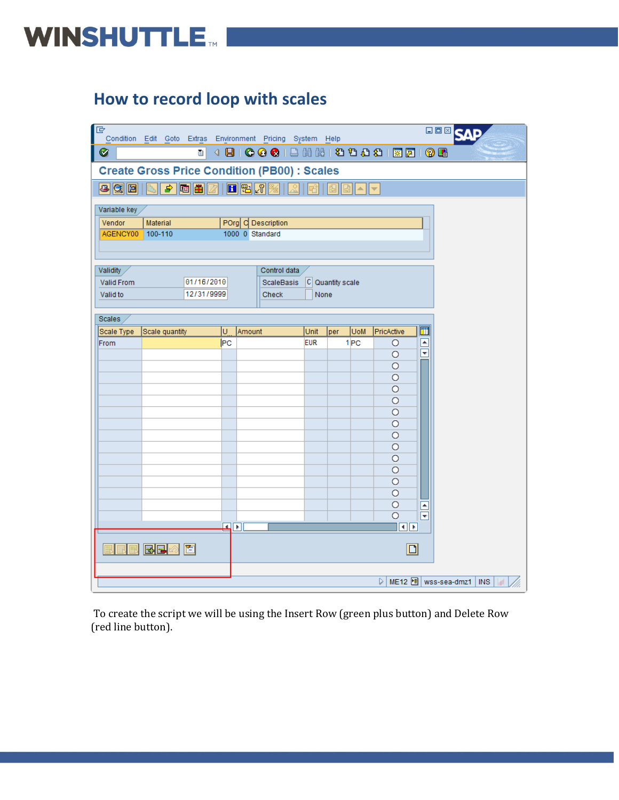#### **How to record loop with scales**

| IG                            | Condition Edit Goto Extras Environment Pricing System Help |     |                                       |            |                  |                 |                         |                                     | <b>BOX</b> SAP              |   |  |
|-------------------------------|------------------------------------------------------------|-----|---------------------------------------|------------|------------------|-----------------|-------------------------|-------------------------------------|-----------------------------|---|--|
| Ø                             | Ū.                                                         |     |                                       |            |                  |                 |                         |                                     |                             |   |  |
|                               | <b>Create Gross Price Condition (PB00) : Scales</b>        |     |                                       |            |                  |                 |                         |                                     |                             |   |  |
| 8981                          | ♪随用図                                                       |     | 日阳团                                   |            |                  | B<br>∸∥≁        |                         |                                     |                             |   |  |
| Variable key                  |                                                            |     |                                       |            |                  |                 |                         |                                     |                             |   |  |
| Vendor<br>AGENCY00            | Material<br>100-110                                        |     | POrg C Description<br>1000 0 Standard |            |                  |                 |                         |                                     |                             |   |  |
|                               |                                                            |     |                                       |            |                  |                 |                         |                                     |                             |   |  |
|                               |                                                            |     |                                       |            |                  |                 |                         |                                     |                             |   |  |
| Validity<br><b>Valid From</b> | 01/16/2010                                                 |     | Control data<br><b>ScaleBasis</b>     |            | C Quantity scale |                 |                         |                                     |                             |   |  |
| Valid to                      | 12/31/9999                                                 |     | Check                                 | None       |                  |                 |                         |                                     |                             |   |  |
| Scales                        |                                                            |     |                                       |            |                  |                 |                         |                                     |                             |   |  |
| Scale Type                    | Scale quantity                                             | U   | Amount                                | Unit       | per              | <b>UoM</b>      | PricActive              | 団                                   |                             |   |  |
| From                          |                                                            | lPC |                                       | <b>EUR</b> |                  | 1 <sub>PC</sub> | $\circ$                 | $\frac{\blacksquare}{\blacksquare}$ |                             |   |  |
|                               |                                                            |     |                                       |            |                  |                 | O                       |                                     |                             |   |  |
|                               |                                                            |     |                                       |            |                  |                 | $\circ$<br>$\circ$      |                                     |                             |   |  |
|                               |                                                            |     |                                       |            |                  |                 | $\circ$                 |                                     |                             |   |  |
|                               |                                                            |     |                                       |            |                  |                 | $\circ$                 |                                     |                             |   |  |
|                               |                                                            |     |                                       |            |                  |                 | $\circ$                 |                                     |                             |   |  |
|                               |                                                            |     |                                       |            |                  |                 | $\circ$                 |                                     |                             |   |  |
|                               |                                                            |     |                                       |            |                  |                 | $\circ$                 |                                     |                             |   |  |
|                               |                                                            |     |                                       |            |                  |                 | $\circ$                 |                                     |                             |   |  |
|                               |                                                            |     |                                       |            |                  |                 | $\circ$<br>$\circ$      |                                     |                             |   |  |
|                               |                                                            |     |                                       |            |                  |                 | $\circ$                 |                                     |                             |   |  |
|                               |                                                            |     |                                       |            |                  |                 | $\circ$                 |                                     |                             |   |  |
|                               |                                                            |     |                                       |            |                  |                 | $\circ$                 | $\blacktriangle$                    |                             |   |  |
|                               |                                                            |     |                                       |            |                  |                 | $\circ$                 | $\overline{\phantom{1}}$            |                             |   |  |
|                               |                                                            | ⊡⊪  |                                       |            |                  |                 | $\overline{\mathbf{E}}$ |                                     |                             |   |  |
|                               | 园园<br>靣                                                    |     |                                       |            |                  |                 | $\boxed{\Box}$          |                                     |                             |   |  |
|                               |                                                            |     |                                       |            |                  |                 | ▷                       |                                     | ME12 d   wss-sea-dmz1   INS | M |  |

To create the script we will be using the Insert Row (green plus button) and Delete Row (red line button).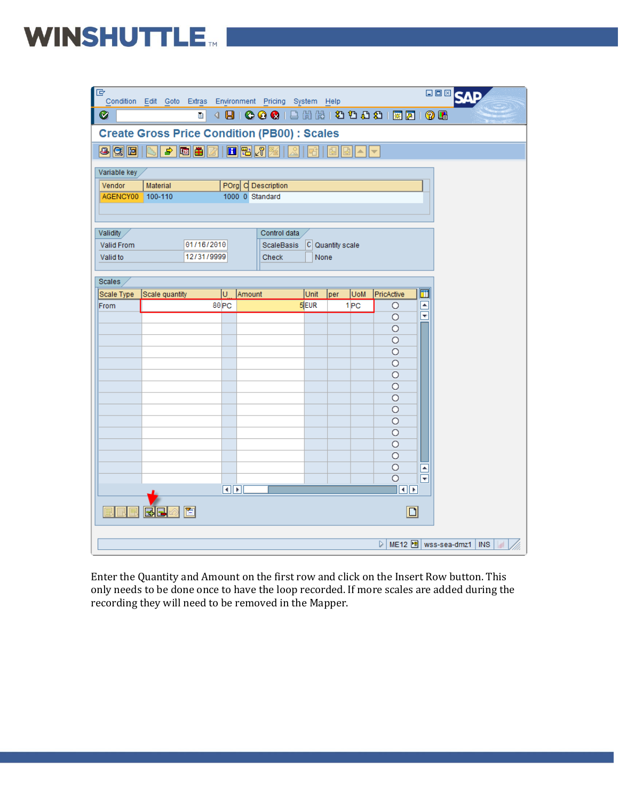#### WINSHUTTLE.

| 叵                  |                |            |                      | Condition Edit Goto Extras Environment Pricing System Help |      |                      |            |                         |                         | 口回回                                      |  |
|--------------------|----------------|------------|----------------------|------------------------------------------------------------|------|----------------------|------------|-------------------------|-------------------------|------------------------------------------|--|
| Ø                  |                | ū          |                      | 4 8 6 6 6 6 7 8 1 8 1 8 1 8 6 6 7 8 1 8 8                  |      |                      |            |                         |                         |                                          |  |
|                    |                |            |                      | <b>Create Gross Price Condition (PB00): Scales</b>         |      |                      |            |                         |                         |                                          |  |
| $\overline{C}$ (3) |                | ♪同田        |                      | 日昭和                                                        |      | षा                   | ∸∥≁        |                         |                         |                                          |  |
| Variable key       |                |            |                      |                                                            |      |                      |            |                         |                         |                                          |  |
| Vendor             | Material       |            |                      | POrg C Description                                         |      |                      |            |                         |                         |                                          |  |
| AGENCY00           | 100-110        |            |                      | 1000 0 Standard                                            |      |                      |            |                         |                         |                                          |  |
|                    |                |            |                      |                                                            |      |                      |            |                         |                         |                                          |  |
|                    |                |            |                      |                                                            |      |                      |            |                         |                         |                                          |  |
| <b>Validity</b>    |                |            |                      | Control data                                               |      |                      |            |                         |                         |                                          |  |
| Valid From         |                | 01/16/2010 |                      | <b>ScaleBasis</b>                                          |      | $ C $ Quantity scale |            |                         |                         |                                          |  |
| Valid to           |                | 12/31/9999 |                      | Check                                                      | None |                      |            |                         |                         |                                          |  |
|                    |                |            |                      |                                                            |      |                      |            |                         |                         |                                          |  |
| Scales             |                |            |                      |                                                            |      |                      |            |                         |                         |                                          |  |
| Scale Type         | Scale quantity |            | lu.                  | Amount                                                     | Unit | per                  | <b>UoM</b> | PricActive              | $\overline{\mathbf{m}}$ |                                          |  |
| From               |                |            | 80 <sub>PC</sub>     |                                                            | 5EUR |                      | 1PC        | $\circ$                 | $\blacksquare$          |                                          |  |
|                    |                |            |                      |                                                            |      |                      |            | $\circ$                 | $\overline{\mathbf{v}}$ |                                          |  |
|                    |                |            |                      |                                                            |      |                      |            | $\circ$                 |                         |                                          |  |
|                    |                |            |                      |                                                            |      |                      |            | $\circ$                 |                         |                                          |  |
|                    |                |            |                      |                                                            |      |                      |            | $\circ$                 |                         |                                          |  |
|                    |                |            |                      |                                                            |      |                      |            | $\circ$                 |                         |                                          |  |
|                    |                |            |                      |                                                            |      |                      |            | $\circ$                 |                         |                                          |  |
|                    |                |            |                      |                                                            |      |                      |            | O                       |                         |                                          |  |
|                    |                |            |                      |                                                            |      |                      |            | $\circ$                 |                         |                                          |  |
|                    |                |            |                      |                                                            |      |                      |            | $\circ$                 |                         |                                          |  |
|                    |                |            |                      |                                                            |      |                      |            | Ο                       |                         |                                          |  |
|                    |                |            |                      |                                                            |      |                      |            | $\circ$<br>$\circ$      |                         |                                          |  |
|                    |                |            |                      |                                                            |      |                      |            | О                       |                         |                                          |  |
|                    |                |            |                      |                                                            |      |                      |            | $\circ$                 |                         |                                          |  |
|                    |                |            |                      |                                                            |      |                      |            | $\circ$                 | $\blacktriangle$<br>चि  |                                          |  |
|                    |                |            | $\overline{ \cdot }$ |                                                            |      |                      |            | $\overline{\mathbf{E}}$ |                         |                                          |  |
|                    |                |            |                      |                                                            |      |                      |            |                         |                         |                                          |  |
|                    | 國國             | 置          |                      |                                                            |      |                      |            |                         | $\boxed{\Box}$          |                                          |  |
|                    |                |            |                      |                                                            |      |                      |            | ▷                       |                         | ME12 $\boxed{9}$ wss-sea-dmz1<br>$ $ INS |  |
|                    |                |            |                      |                                                            |      |                      |            |                         |                         |                                          |  |

Enter the Quantity and Amount on the first row and click on the Insert Row button. This only needs to be done once to have the loop recorded. If more scales are added during the recording they will need to be removed in the Mapper.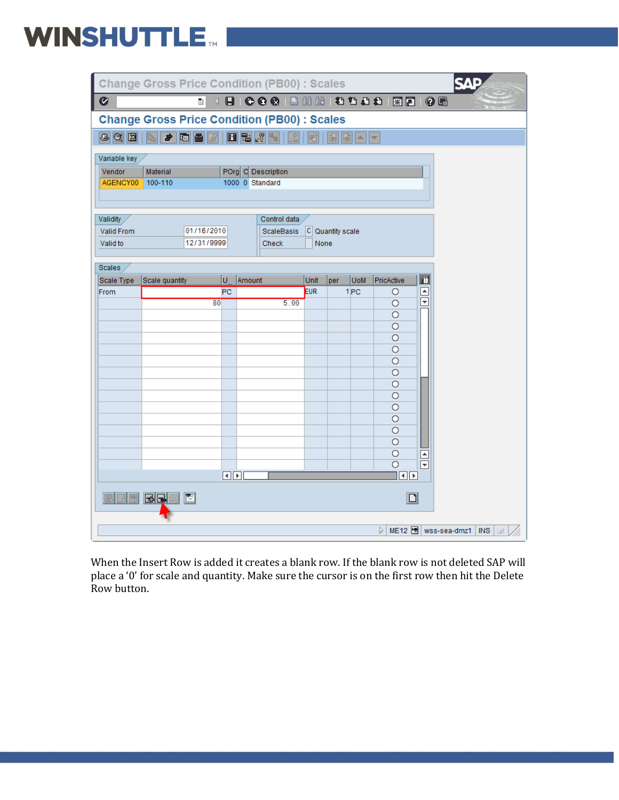|                    | <b>Change Gross Price Condition (PB00): Scales</b>  |                 |                                       |      |                  |                                          |                               |                                                                 | SΔ                         |
|--------------------|-----------------------------------------------------|-----------------|---------------------------------------|------|------------------|------------------------------------------|-------------------------------|-----------------------------------------------------------------|----------------------------|
| Ø                  | ē.                                                  | $\triangleleft$ |                                       |      |                  |                                          |                               |                                                                 |                            |
|                    | <b>Change Gross Price Condition (PB00) : Scales</b> |                 |                                       |      |                  |                                          |                               |                                                                 |                            |
|                    | 8 3 8 6 <del>7</del> 6 8 7 8 8 7 8                  |                 |                                       |      |                  | $  \mathbf{E}  $ $\sim$ $  \mathbf{v}  $ |                               |                                                                 |                            |
| Variable key       |                                                     |                 |                                       |      |                  |                                          |                               |                                                                 |                            |
| Vendor<br>AGENCY00 | Material<br>100-110                                 |                 | POrg C Description<br>1000 0 Standard |      |                  |                                          |                               |                                                                 |                            |
|                    |                                                     |                 |                                       |      |                  |                                          |                               |                                                                 |                            |
| <b>Validity</b>    |                                                     |                 | Control data                          |      |                  |                                          |                               |                                                                 |                            |
| <b>Valid From</b>  | 01/16/2010                                          |                 | <b>ScaleBasis</b>                     |      | C Quantity scale |                                          |                               |                                                                 |                            |
| Valid to           | 12/31/9999                                          |                 | Check                                 |      | None             |                                          |                               |                                                                 |                            |
| Scales             |                                                     |                 |                                       |      |                  |                                          |                               |                                                                 |                            |
| Scale Type         | Scale quantity                                      | U               | Amount                                | Unit | per              | <b>UoM</b>                               | PricActive                    | ⊡                                                               |                            |
| From               |                                                     | <b>PC</b>       |                                       | EUR  |                  | 1 <sub>PC</sub>                          | O                             | $\frac{\boxed{\blacktriangle}}{\color{red} \blacktriangledown}$ |                            |
|                    |                                                     | 80              | 5.00                                  |      |                  |                                          | $\circ$<br>$\circ$            |                                                                 |                            |
|                    |                                                     |                 |                                       |      |                  |                                          | $\circ$                       |                                                                 |                            |
|                    |                                                     |                 |                                       |      |                  |                                          | O                             |                                                                 |                            |
|                    |                                                     |                 |                                       |      |                  |                                          | $\circ$                       |                                                                 |                            |
|                    |                                                     |                 |                                       |      |                  |                                          | O                             |                                                                 |                            |
|                    |                                                     |                 |                                       |      |                  |                                          | $\circ$                       |                                                                 |                            |
|                    |                                                     |                 |                                       |      |                  |                                          | $\circ$                       |                                                                 |                            |
|                    |                                                     |                 |                                       |      |                  |                                          | $\circ$                       |                                                                 |                            |
|                    |                                                     |                 |                                       |      |                  |                                          | O                             |                                                                 |                            |
|                    |                                                     |                 |                                       |      |                  |                                          | $\circ$                       |                                                                 |                            |
|                    |                                                     |                 |                                       |      |                  |                                          | $\circ$                       |                                                                 |                            |
|                    |                                                     |                 |                                       |      |                  |                                          | $\circ$                       |                                                                 |                            |
|                    |                                                     |                 |                                       |      |                  |                                          | $\circ$<br>$\overline{\circ}$ | $\frac{\boxed{}}{2}$                                            |                            |
|                    |                                                     |                 | $\P$ $\P$ $\P$ $\P$                   |      |                  |                                          | $\blacksquare$                |                                                                 |                            |
| LJ                 | Ħ<br>RE                                             |                 |                                       |      |                  |                                          | $\Box$                        |                                                                 |                            |
|                    |                                                     |                 |                                       |      |                  |                                          |                               |                                                                 |                            |
|                    |                                                     |                 |                                       |      |                  |                                          | D                             |                                                                 | ME12 holl wss-sea-dmz1 INS |

When the Insert Row is added it creates a blank row. If the blank row is not deleted SAP will place a '0' for scale and quantity. Make sure the cursor is on the first row then hit the Delete Row button.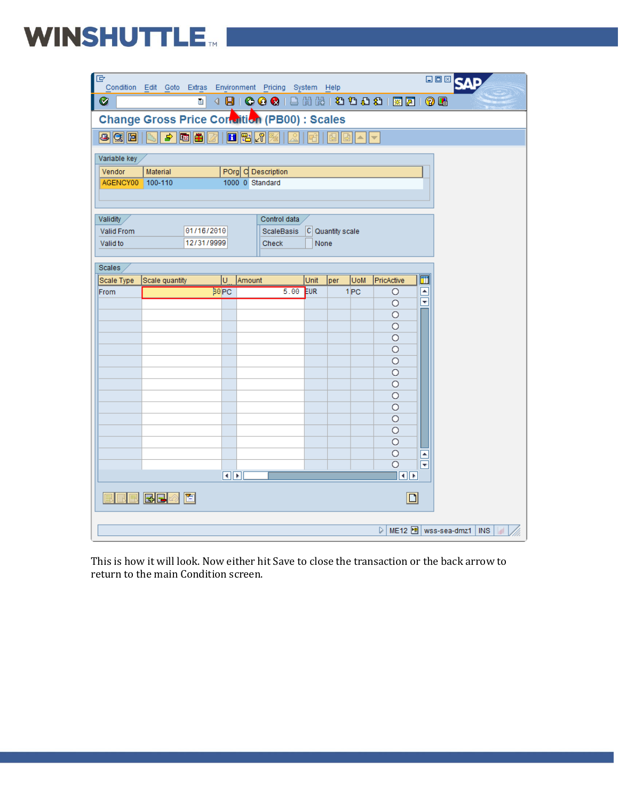# WINSHUTTLE MILLER

| 旧                             | Condition Edit Goto Extras Environment Pricing System Help   |                  |                |                                   |      |                  |                 |                         |                     | <b>OOMQ</b> |                             |    |
|-------------------------------|--------------------------------------------------------------|------------------|----------------|-----------------------------------|------|------------------|-----------------|-------------------------|---------------------|-------------|-----------------------------|----|
| Ø                             |                                                              | Ū                |                |                                   |      |                  |                 |                         |                     |             |                             |    |
|                               | Change Gross Price Condition (PB00) : Scales                 |                  |                |                                   |      |                  |                 |                         |                     |             |                             |    |
| 890                           | ♪随曲                                                          |                  | 日阳风            |                                   |      |                  | A               | ⊢                       |                     |             |                             |    |
| Variable key                  |                                                              |                  |                |                                   |      |                  |                 |                         |                     |             |                             |    |
| Vendor<br>AGENCY00            | POrg C Description<br>Material<br>100-110<br>1000 0 Standard |                  |                |                                   |      |                  |                 |                         |                     |             |                             |    |
|                               |                                                              |                  |                |                                   |      |                  |                 |                         |                     |             |                             |    |
|                               |                                                              |                  |                |                                   |      |                  |                 |                         |                     |             |                             |    |
| <b>Validity</b><br>Valid From |                                                              | 01/16/2010       |                | Control data<br><b>ScaleBasis</b> |      | C Quantity scale |                 |                         |                     |             |                             |    |
| Valid to                      |                                                              | 12/31/9999       |                | Check                             | None |                  |                 |                         |                     |             |                             |    |
|                               |                                                              |                  |                |                                   |      |                  |                 |                         |                     |             |                             |    |
| Scales<br>Scale Type          | Scale quantity                                               | lU.              | Amount         |                                   | Unit | per              | <b>UoM</b>      | PricActive              | 団                   |             |                             |    |
| <b>From</b>                   |                                                              | 30 <sub>PC</sub> |                | 5.00                              | EUR  |                  | 1 <sub>PC</sub> | $\circ$                 | $\frac{1}{2}$       |             |                             |    |
|                               |                                                              |                  |                |                                   |      |                  |                 | $\circ$                 |                     |             |                             |    |
|                               |                                                              |                  |                |                                   |      |                  |                 | $\circ$                 |                     |             |                             |    |
|                               |                                                              |                  |                |                                   |      |                  |                 | $\circ$<br>$\circ$      |                     |             |                             |    |
|                               |                                                              |                  |                |                                   |      |                  |                 | $\circ$                 |                     |             |                             |    |
|                               |                                                              |                  |                |                                   |      |                  |                 | $\circ$                 |                     |             |                             |    |
|                               |                                                              |                  |                |                                   |      |                  |                 | $\circ$                 |                     |             |                             |    |
|                               |                                                              |                  |                |                                   |      |                  |                 | $\overline{O}$          |                     |             |                             |    |
|                               |                                                              |                  |                |                                   |      |                  |                 | $\circ$                 |                     |             |                             |    |
|                               |                                                              |                  |                |                                   |      |                  |                 | $\circ$                 |                     |             |                             |    |
|                               |                                                              |                  |                |                                   |      |                  |                 | $\circ$                 |                     |             |                             |    |
|                               |                                                              |                  |                |                                   |      |                  |                 | $\circ$                 |                     |             |                             |    |
|                               |                                                              |                  |                |                                   |      |                  |                 | O                       |                     |             |                             |    |
|                               |                                                              |                  |                |                                   |      |                  |                 | $\circ$<br>$\circ$      | $\frac{\Box}{\Box}$ |             |                             |    |
|                               |                                                              |                  | $\P\mathbb{F}$ |                                   |      |                  |                 | $\overline{\mathbf{E}}$ |                     |             |                             |    |
|                               | 圆圆<br>百                                                      |                  |                |                                   |      |                  |                 |                         | $\boxed{\Box}$      |             |                             |    |
|                               |                                                              |                  |                |                                   |      |                  |                 |                         |                     |             |                             |    |
|                               |                                                              |                  |                |                                   |      |                  |                 | ▷                       |                     |             | ME12 d   wss-sea-dmz1   INS | W. |

This is how it will look. Now either hit Save to close the transaction or the back arrow to return to the main Condition screen.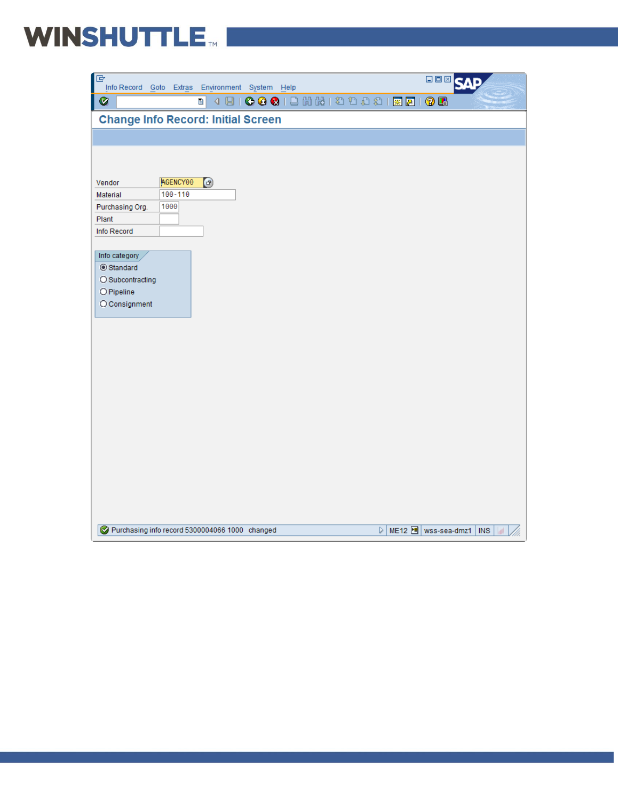

| $\Box$<br>Info Record Goto Extras Environment System Help                      | <b>BOX SAP</b>                                                 |
|--------------------------------------------------------------------------------|----------------------------------------------------------------|
| <b>←←●</b>   금出出   2 1 1 1 1 1 2 1 2 1 2 1 2 1 2<br>4日1<br>Ø<br>$\blacksquare$ |                                                                |
| <b>Change Info Record: Initial Screen</b>                                      |                                                                |
|                                                                                |                                                                |
|                                                                                |                                                                |
|                                                                                |                                                                |
| AGENCY00<br>$\bigcirc$<br>Vendor<br>100-110<br>Material                        |                                                                |
| 1000<br>Purchasing Org.                                                        |                                                                |
| Plant                                                                          |                                                                |
| Info Record                                                                    |                                                                |
|                                                                                |                                                                |
| Info category                                                                  |                                                                |
| Standard                                                                       |                                                                |
| O Subcontracting                                                               |                                                                |
| O Pipeline                                                                     |                                                                |
| $O$ Consignment                                                                |                                                                |
|                                                                                |                                                                |
|                                                                                |                                                                |
|                                                                                |                                                                |
|                                                                                |                                                                |
|                                                                                |                                                                |
|                                                                                |                                                                |
|                                                                                |                                                                |
|                                                                                |                                                                |
|                                                                                |                                                                |
|                                                                                |                                                                |
|                                                                                |                                                                |
|                                                                                |                                                                |
|                                                                                |                                                                |
|                                                                                |                                                                |
|                                                                                |                                                                |
|                                                                                |                                                                |
| Purchasing info record 5300004066 1000 changed                                 | ME12 https://wss-sea-dmz1   INS<br>$\triangleright$<br>$\vert$ |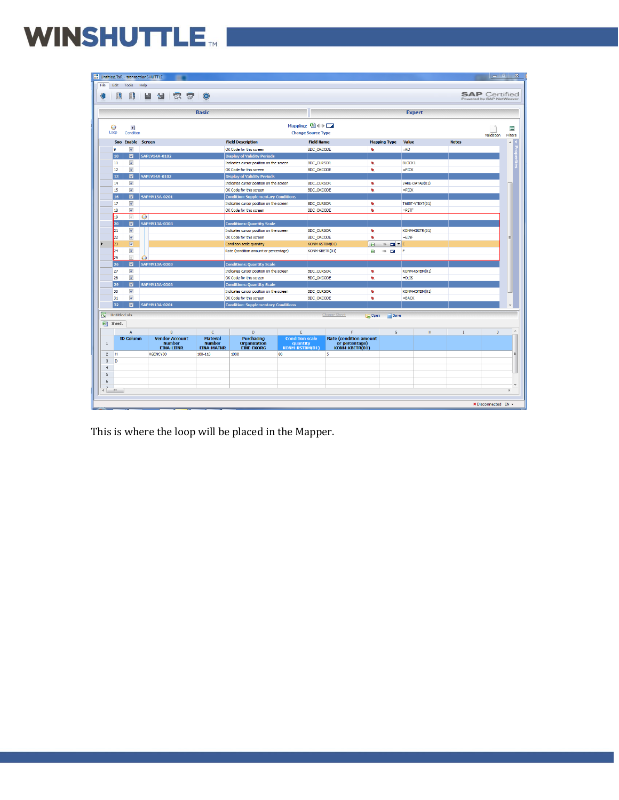## WINSHUTTLE MILLE

|      |                              |                     |                                                    | Untitled.TxR - transactionSHUTTLE |                                                             |                |                                                       |                                                                    |                                                      |                                        |                                                                   |                         |                           |                           |              | $ - $ al             | $\mathbf{x}$                          |
|------|------------------------------|---------------------|----------------------------------------------------|-----------------------------------|-------------------------------------------------------------|----------------|-------------------------------------------------------|--------------------------------------------------------------------|------------------------------------------------------|----------------------------------------|-------------------------------------------------------------------|-------------------------|---------------------------|---------------------------|--------------|----------------------|---------------------------------------|
| File |                              | Edit Tools          |                                                    | Help                              |                                                             |                |                                                       |                                                                    |                                                      |                                        |                                                                   |                         |                           |                           |              |                      |                                       |
|      |                              | Ы                   |                                                    |                                   | $E_{\rm{Q}}$                                                | $\overline{1}$ | 0                                                     |                                                                    |                                                      |                                        |                                                                   |                         |                           |                           |              | <b>SAP</b> Certified |                                       |
|      |                              |                     |                                                    |                                   |                                                             |                | <b>Basic</b>                                          |                                                                    |                                                      |                                        |                                                                   |                         |                           | <b>Expert</b>             |              |                      |                                       |
|      |                              |                     | $\mathbf{r}$                                       |                                   |                                                             |                |                                                       |                                                                    |                                                      | Mapping: 图(+) 口                        |                                                                   |                         |                           |                           |              |                      |                                       |
|      |                              | 0<br>Loop           | Condition                                          |                                   |                                                             |                |                                                       |                                                                    |                                                      | <b>Change Source Type</b>              |                                                                   |                         |                           |                           |              |                      | 冒                                     |
|      |                              |                     |                                                    | Sno. Enable Screen                |                                                             |                |                                                       | <b>Field Description</b>                                           |                                                      | <b>Field Name</b>                      |                                                                   |                         | <b>Mapping Type</b>       | Value                     | <b>Notes</b> | Validation           | <b>Filters</b><br>$\hat{\phantom{a}}$ |
|      | $\overline{\mathsf{v}}$<br>9 |                     |                                                    |                                   |                                                             |                |                                                       | OK Code for this screen                                            |                                                      | <b>BDC OKCODE</b>                      |                                                                   | e.                      |                           | $-KO$                     |              |                      |                                       |
|      |                              | 10                  | $\overline{\mathbf{z}}$                            | <b>SAPLV14A-0102</b>              |                                                             |                |                                                       | <b>Display of Validity Periods</b>                                 |                                                      |                                        |                                                                   |                         |                           |                           |              |                      |                                       |
|      |                              | 11                  | $\overline{\mathsf{v}}$                            |                                   |                                                             |                |                                                       | Indicates cursor position on the screen                            |                                                      | <b>BDC_CURSOR</b>                      |                                                                   | s                       |                           | <b>BLOCK1</b>             |              |                      |                                       |
|      |                              | 12                  | V                                                  |                                   |                                                             |                |                                                       | OK Code for this screen                                            |                                                      | <b>BDC_OKCODE</b>                      |                                                                   | $\bullet$               |                           | $=$ PICK                  |              |                      |                                       |
|      |                              | 13                  | $\blacksquare$                                     | <b>SAPLV14A-0102</b>              |                                                             |                |                                                       | <b>Display of Validity Periods</b>                                 |                                                      |                                        |                                                                   |                         |                           |                           |              |                      |                                       |
|      |                              | 14                  | $\overline{\mathbf{v}}$                            |                                   |                                                             |                |                                                       | Indicates cursor position on the screen                            |                                                      | <b>BDC CURSOR</b>                      |                                                                   | $\bullet$               |                           | VAKE-DATAB(01)            |              |                      |                                       |
|      |                              | 15                  | $\overline{\mathsf{v}}$                            |                                   |                                                             |                |                                                       | OK Code for this screen                                            |                                                      | <b>BDC_OKCODE</b>                      |                                                                   | $\bullet$               |                           | $=$ PICK                  |              |                      |                                       |
|      |                              | 16                  | $\overline{a}$                                     | SAPMV13A-0201                     |                                                             |                |                                                       | <b>Condition: Supplementary Conditions</b>                         |                                                      |                                        |                                                                   |                         |                           |                           |              |                      |                                       |
|      |                              | 17                  | $\overline{\mathsf{v}}$                            |                                   |                                                             |                |                                                       | Indicates cursor position on the screen                            |                                                      | <b>BDC_CURSOR</b>                      |                                                                   | $\bullet$               |                           | T685T-VTEXT(01)           |              |                      |                                       |
|      |                              | 18                  | $\overline{\mathsf{v}}$                            |                                   |                                                             |                |                                                       | OK Code for this screen                                            |                                                      | <b>BDC_OKCODE</b>                      |                                                                   | $\bullet$               |                           | $=$ PSTF                  |              |                      |                                       |
|      |                              | 19                  | $\checkmark$                                       | $\bullet$                         |                                                             |                |                                                       |                                                                    |                                                      |                                        |                                                                   |                         |                           |                           |              |                      |                                       |
|      |                              | 20                  | $\blacksquare$                                     | <b>SAPMV13A-0303</b>              |                                                             |                |                                                       | <b>Conditions: Quantity Scale</b>                                  |                                                      |                                        |                                                                   |                         |                           |                           |              |                      |                                       |
|      |                              | 21                  | $\overline{\mathbf{v}}$                            |                                   |                                                             |                |                                                       | Indicates cursor position on the screen                            |                                                      | <b>BDC CURSOR</b>                      |                                                                   | e,                      |                           | KONM-KBETR(01)            |              |                      |                                       |
|      |                              | 22                  | $\overline{\mathsf{v}}$                            |                                   |                                                             |                |                                                       | OK Code for this screen                                            |                                                      | <b>BDC_OKCODE</b>                      |                                                                   | $\bullet$               |                           | $=$ EINF                  |              |                      | 티                                     |
|      |                              | 23                  | $\overline{\mathbf{v}}$                            |                                   |                                                             |                |                                                       | Condition scale quantity                                           |                                                      | KONM-KSTBM(01)                         |                                                                   | $\mathbb{R}$            | $\mathbf{E}$ $\mathbf{E}$ |                           |              |                      |                                       |
|      |                              | 24                  | $\overline{\mathbf{v}}$                            |                                   |                                                             |                |                                                       | Rate (condition amount or percentage)                              |                                                      | KONM-KBETR(01)                         |                                                                   | $\overline{\mathbf{z}}$ | $\blacksquare$<br>nb.     | F                         |              |                      |                                       |
|      |                              | 25                  | $\overline{v}$                                     |                                   |                                                             |                |                                                       |                                                                    |                                                      |                                        |                                                                   |                         |                           |                           |              |                      |                                       |
|      |                              | 26                  | $\blacksquare$                                     | SAPMV13A-0303                     |                                                             |                |                                                       | <b>Conditions: Quantity Scale</b>                                  |                                                      |                                        |                                                                   |                         |                           |                           |              |                      |                                       |
|      |                              | 27                  | $\overline{\mathbf{v}}$                            |                                   |                                                             |                |                                                       | Indicates cursor position on the screen                            |                                                      | <b>BDC CURSOR</b>                      |                                                                   | ÷,                      |                           | KONM-KSTBM(01)            |              |                      |                                       |
|      |                              | 28                  | $\overline{\mathsf{v}}$                            |                                   |                                                             |                |                                                       | OK Code for this screen.                                           |                                                      | <b>BDC OKCODE</b>                      |                                                                   | $\bullet$               |                           | $=$ DLIS                  |              |                      |                                       |
|      |                              | 29                  | $\overline{\mathbf{z}}$                            | SAPMV13A-0303                     |                                                             |                |                                                       | <b>Conditions: Quantity Scale</b>                                  |                                                      |                                        |                                                                   |                         |                           |                           |              |                      |                                       |
|      |                              | 30                  | $\overline{\mathsf{v}}$<br>$\overline{\mathbf{v}}$ |                                   |                                                             |                |                                                       | Indicates cursor position on the screen<br>OK Code for this screen |                                                      | <b>BDC_CURSOR</b><br><b>BDC_OKCODE</b> |                                                                   | $\bullet$               |                           | KONM-KSTBM(01)<br>$=BACK$ |              |                      |                                       |
|      |                              | 31<br>32            | $\blacksquare$                                     | <b>SAPMV13A-0201</b>              |                                                             |                |                                                       | <b>Condition: Supplementary Conditions</b>                         |                                                      |                                        |                                                                   | $\bullet$               |                           |                           |              |                      |                                       |
|      |                              |                     |                                                    |                                   |                                                             |                |                                                       |                                                                    |                                                      |                                        |                                                                   |                         |                           |                           |              |                      |                                       |
|      | 図                            | <b>Untitled.xls</b> |                                                    |                                   |                                                             |                |                                                       |                                                                    |                                                      |                                        | Change Sheet                                                      | Open                    | Save                      |                           |              |                      |                                       |
|      |                              | Sheet1              |                                                    |                                   |                                                             |                |                                                       |                                                                    |                                                      |                                        |                                                                   |                         |                           |                           |              |                      |                                       |
|      |                              |                     | $\mathbf{A}$                                       |                                   | B                                                           |                | Ċ                                                     | D                                                                  | E                                                    |                                        | F.                                                                |                         | G                         | H                         | 1            | $\mathbf{J}$         |                                       |
|      | $\mathbf{1}$                 |                     | <b>ID Column</b>                                   |                                   | <b>Vendor Account</b><br><b>Number</b><br><b>EINA-LIFNR</b> |                | <b>Material</b><br><b>Number</b><br><b>EINA-MATNR</b> | Purchasing<br><b>Organization</b><br><b>EINE-EKORG</b>             | <b>Condition scale</b><br>quantity<br>KONM-KSTBM(01) |                                        | <b>Rate (condition amount</b><br>or percentage)<br>KONM-KBETR(01) |                         |                           |                           |              |                      |                                       |
|      | $\overline{c}$               | H                   |                                                    |                                   | AGENCY00                                                    |                | $100 - 110$                                           | 1000                                                               | 80                                                   |                                        | 5                                                                 |                         |                           |                           |              |                      |                                       |
|      | $\mathsf 3$                  | lo.                 |                                                    |                                   |                                                             |                |                                                       |                                                                    |                                                      |                                        |                                                                   |                         |                           |                           |              |                      |                                       |
|      | $\ddot{4}$                   |                     |                                                    |                                   |                                                             |                |                                                       |                                                                    |                                                      |                                        |                                                                   |                         |                           |                           |              |                      |                                       |
|      | 5                            |                     |                                                    |                                   |                                                             |                |                                                       |                                                                    |                                                      |                                        |                                                                   |                         |                           |                           |              |                      |                                       |
|      | 6                            |                     |                                                    |                                   |                                                             |                |                                                       |                                                                    |                                                      |                                        |                                                                   |                         |                           |                           |              |                      |                                       |
|      | ∢Ť                           | $-111$              |                                                    |                                   |                                                             |                |                                                       |                                                                    |                                                      |                                        |                                                                   |                         |                           |                           |              |                      |                                       |
|      |                              |                     |                                                    |                                   |                                                             |                |                                                       |                                                                    |                                                      |                                        |                                                                   |                         |                           |                           |              |                      |                                       |
|      |                              |                     |                                                    |                                   |                                                             |                |                                                       |                                                                    |                                                      |                                        |                                                                   |                         |                           |                           |              | × Disconnected EN -  |                                       |

This is where the loop will be placed in the Mapper.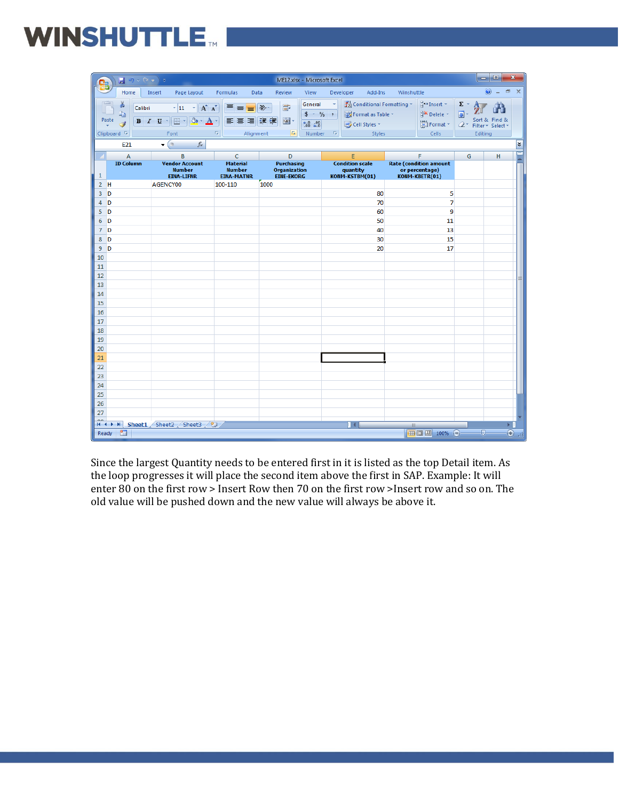| Qa             | $\begin{array}{ c c c }\hline \textbf{1} & \textbf{10} \times \textbf{O} & \star \end{array} \begin{array}{ c c c }\hline \textbf{2} & \textbf{5} & \textbf{0} & \textbf{10} \end{array}$ |                                                                                                                                       |                                                                                    | ME12.xlsx - Microsoft Excel                                                 |                                                                                                  |                                                                         | واب                                                                                       | $\mathbf{x}$         |
|----------------|-------------------------------------------------------------------------------------------------------------------------------------------------------------------------------------------|---------------------------------------------------------------------------------------------------------------------------------------|------------------------------------------------------------------------------------|-----------------------------------------------------------------------------|--------------------------------------------------------------------------------------------------|-------------------------------------------------------------------------|-------------------------------------------------------------------------------------------|----------------------|
|                | Home                                                                                                                                                                                      | Insert<br>Page Layout                                                                                                                 | Formulas<br>Data                                                                   | Review<br>View                                                              | Developer<br>Add-Ins                                                                             | Winshuttle                                                              | 0                                                                                         | $ =$<br>$\mathbf{x}$ |
|                | Ж<br>Calibri<br>la.<br>Paste<br>Í<br>Clipboard <sup>5</sup><br>E21                                                                                                                        | $\mathbf{A}$ 11 $\mathbf{A}$ $\mathbf{A}$<br>$\Box$ - $\Diamond$ - $\Lambda$ -<br>$B$ $I$ $U$ $\sim$<br>Font<br>$f_x$<br>$\mathbf{F}$ | ≡<br>$\equiv \equiv$<br>青春周年铜<br>$\overline{\mathrm{E}}_{\mathrm{H}}$<br>Alignment | General<br>冒<br>$\gg$<br>国<br>$0.4 \frac{0.3}{0.0}$<br>$\sqrt{2}$<br>Number | Conditional Formatting *<br>$$ - 96 +$<br>Format as Table *<br>Cell Styles *<br>$-150$<br>Styles | $\frac{m}{n}$ a Insert $\tau$<br><b>N</b> Delete -<br>Format *<br>Cells | $\Sigma$ -<br>$\overline{\bullet}$<br>Sort & Find &<br>$2^*$ Filter * Select *<br>Editing | ¥                    |
|                |                                                                                                                                                                                           |                                                                                                                                       |                                                                                    |                                                                             |                                                                                                  |                                                                         |                                                                                           |                      |
|                | А<br><b>ID Column</b>                                                                                                                                                                     | В<br><b>Vendor Account</b>                                                                                                            | c<br><b>Material</b>                                                               | D<br><b>Purchasing</b>                                                      | E<br><b>Condition scale</b>                                                                      | F<br><b>Rate (condition amount</b>                                      | G                                                                                         | н                    |
| $\mathbf{1}$   |                                                                                                                                                                                           | <b>Number</b><br><b>EINA-LIFNR</b>                                                                                                    | <b>Number</b><br><b>EINA-MATNR</b>                                                 | <b>Organization</b><br><b>EINE-EKORG</b>                                    | quantity<br>KONM-KSTBM(01)                                                                       | or percentage)<br>KONM-KBETR(01)                                        |                                                                                           |                      |
| $\overline{2}$ | H                                                                                                                                                                                         | AGENCY00                                                                                                                              | 100-110                                                                            | 1000                                                                        |                                                                                                  |                                                                         |                                                                                           |                      |
| 3              | D                                                                                                                                                                                         |                                                                                                                                       |                                                                                    |                                                                             | 80                                                                                               | 5                                                                       |                                                                                           |                      |
| 4              | D                                                                                                                                                                                         |                                                                                                                                       |                                                                                    |                                                                             | 70                                                                                               | 7                                                                       |                                                                                           |                      |
| 5              | D                                                                                                                                                                                         |                                                                                                                                       |                                                                                    |                                                                             | 60                                                                                               | 9                                                                       |                                                                                           |                      |
| 6              | D                                                                                                                                                                                         |                                                                                                                                       |                                                                                    |                                                                             | 50                                                                                               | 11                                                                      |                                                                                           |                      |
| $\overline{7}$ | D                                                                                                                                                                                         |                                                                                                                                       |                                                                                    |                                                                             | 40                                                                                               | 13                                                                      |                                                                                           |                      |
| 8              | D                                                                                                                                                                                         |                                                                                                                                       |                                                                                    |                                                                             | 30                                                                                               | 15                                                                      |                                                                                           |                      |
| 9              | D                                                                                                                                                                                         |                                                                                                                                       |                                                                                    |                                                                             | 20                                                                                               | 17                                                                      |                                                                                           |                      |
| 10<br>11       |                                                                                                                                                                                           |                                                                                                                                       |                                                                                    |                                                                             |                                                                                                  |                                                                         |                                                                                           |                      |
| 12             |                                                                                                                                                                                           |                                                                                                                                       |                                                                                    |                                                                             |                                                                                                  |                                                                         |                                                                                           |                      |
| 13             |                                                                                                                                                                                           |                                                                                                                                       |                                                                                    |                                                                             |                                                                                                  |                                                                         |                                                                                           | ≡                    |
| 14             |                                                                                                                                                                                           |                                                                                                                                       |                                                                                    |                                                                             |                                                                                                  |                                                                         |                                                                                           |                      |
| 15             |                                                                                                                                                                                           |                                                                                                                                       |                                                                                    |                                                                             |                                                                                                  |                                                                         |                                                                                           |                      |
| 16             |                                                                                                                                                                                           |                                                                                                                                       |                                                                                    |                                                                             |                                                                                                  |                                                                         |                                                                                           |                      |
| 17             |                                                                                                                                                                                           |                                                                                                                                       |                                                                                    |                                                                             |                                                                                                  |                                                                         |                                                                                           |                      |
| 18             |                                                                                                                                                                                           |                                                                                                                                       |                                                                                    |                                                                             |                                                                                                  |                                                                         |                                                                                           |                      |
| 19             |                                                                                                                                                                                           |                                                                                                                                       |                                                                                    |                                                                             |                                                                                                  |                                                                         |                                                                                           |                      |
| 20             |                                                                                                                                                                                           |                                                                                                                                       |                                                                                    |                                                                             |                                                                                                  |                                                                         |                                                                                           |                      |
| 21             |                                                                                                                                                                                           |                                                                                                                                       |                                                                                    |                                                                             |                                                                                                  |                                                                         |                                                                                           |                      |
| 22             |                                                                                                                                                                                           |                                                                                                                                       |                                                                                    |                                                                             |                                                                                                  |                                                                         |                                                                                           |                      |
| 23             |                                                                                                                                                                                           |                                                                                                                                       |                                                                                    |                                                                             |                                                                                                  |                                                                         |                                                                                           |                      |
| 24             |                                                                                                                                                                                           |                                                                                                                                       |                                                                                    |                                                                             |                                                                                                  |                                                                         |                                                                                           |                      |
| 25             |                                                                                                                                                                                           |                                                                                                                                       |                                                                                    |                                                                             |                                                                                                  |                                                                         |                                                                                           |                      |
| 26             |                                                                                                                                                                                           |                                                                                                                                       |                                                                                    |                                                                             |                                                                                                  |                                                                         |                                                                                           |                      |
| 27<br>$\sim$   |                                                                                                                                                                                           |                                                                                                                                       |                                                                                    |                                                                             |                                                                                                  |                                                                         |                                                                                           |                      |
|                |                                                                                                                                                                                           | II I → H Sheet1 Sheet2 Sheet3 2                                                                                                       |                                                                                    |                                                                             | $\mathbb{R}$                                                                                     | ШÌ                                                                      |                                                                                           |                      |
|                | 图<br>Ready                                                                                                                                                                                |                                                                                                                                       |                                                                                    |                                                                             |                                                                                                  | 100% (-) −                                                              | $\overline{\mathbb{U}}$                                                                   | $\bigoplus$          |

Since the largest Quantity needs to be entered first in it is listed as the top Detail item. As the loop progresses it will place the second item above the first in SAP. Example: It will enter 80 on the first row > Insert Row then 70 on the first row >Insert row and so on. The old value will be pushed down and the new value will always be above it.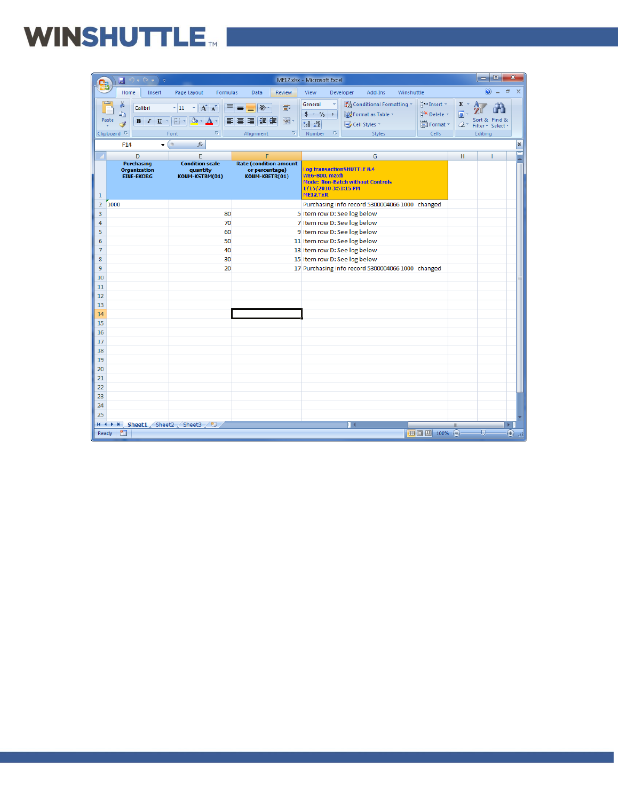# WINSHUTTLE MILLER

|                     | Ы<br>$\overline{\mathbf{v}}$                           |                                                                                                                                                                                   |                                                                                            | $\overline{\mathbf{x}}$<br>ورد<br>ME12.xlsx - Microsoft Excel                                                                                                                                                                                                                                                                        |
|---------------------|--------------------------------------------------------|-----------------------------------------------------------------------------------------------------------------------------------------------------------------------------------|--------------------------------------------------------------------------------------------|--------------------------------------------------------------------------------------------------------------------------------------------------------------------------------------------------------------------------------------------------------------------------------------------------------------------------------------|
|                     | Home<br>Insert                                         | Page Layout<br><b>Formulas</b>                                                                                                                                                    | Review<br>Data                                                                             | $\circledcirc$<br>$\Box$<br>$\mathbf x$<br>View<br>Add-Ins<br>Winshuttle<br>Developer                                                                                                                                                                                                                                                |
| Paste               | Calibri<br>Ð<br>Í<br>Clipboard <sup>5</sup>            | $\mathbf{A} \mathbf{A}$<br>$\frac{1}{11}$<br>ᇀ<br>$\mathbf{B}$ $I$ $\mathbf{U}$ $\cdot$ $\mathbf{H}$ $\cdot$ $\mathbf{A}$ $\cdot$<br>$\overline{\mathrm{M}_{\mathrm{H}}}$<br>Font | 冒<br>$\frac{1}{2}$<br>$\equiv$<br>国<br>青春 雪<br>桓<br>Alignment<br>$\overline{\mathbb{F}_2}$ | Conditional Formatting *<br>$\frac{1}{11}$ = Insert $\tau$<br>General<br>Σ,<br><b>N</b> Delete -<br>$$ -  % +$<br>$\overline{\bullet}$<br>Format as Table *<br>Sort & Find &<br>$0.4 \frac{0.3}{0.0}$<br>Format *<br>Cell Styles<br>$\mathcal{Q}^{\downarrow}$<br>Filter * Select *<br>Number<br>$-15$<br>Styles<br>Cells<br>Editing |
|                     | $\overline{\phantom{0}}$<br>F14                        | $f_x$<br>$\bigcirc$                                                                                                                                                               |                                                                                            | ¥                                                                                                                                                                                                                                                                                                                                    |
|                     | D                                                      | E                                                                                                                                                                                 | F                                                                                          | G<br>H                                                                                                                                                                                                                                                                                                                               |
| $\mathbf{1}$        | Purchasing<br><b>Organization</b><br><b>EINE-EKORG</b> | <b>Condition scale</b><br>quantity<br>KONM-KSTBM(01)                                                                                                                              | <b>Rate (condition amount</b><br>or percentage)<br>KONM-KBETR(01)                          | <b>Log transactionSHUTTLE 8.4</b><br><b>WE6-800, maxb</b><br><b>Mode: Non-Batch without Controls</b><br>1/15/2010 3:51:15 PM<br><b>ME12.TxR</b>                                                                                                                                                                                      |
| $\overline{2}$      | 1000                                                   |                                                                                                                                                                                   |                                                                                            | Purchasing info record 5300004066 1000 changed                                                                                                                                                                                                                                                                                       |
| 3                   |                                                        | 80                                                                                                                                                                                |                                                                                            | 5 Item row D: See log below                                                                                                                                                                                                                                                                                                          |
| 4                   |                                                        | 70                                                                                                                                                                                |                                                                                            | 7 Item row D: See log below                                                                                                                                                                                                                                                                                                          |
| 5                   |                                                        | 60                                                                                                                                                                                |                                                                                            | 9 Item row D: See log below                                                                                                                                                                                                                                                                                                          |
| 6                   |                                                        | 50                                                                                                                                                                                |                                                                                            | 11 Item row D: See log below                                                                                                                                                                                                                                                                                                         |
| $\overline{7}$<br>8 |                                                        | 40<br>30                                                                                                                                                                          |                                                                                            | 13 Item row D: See log below                                                                                                                                                                                                                                                                                                         |
| 9                   |                                                        | 20                                                                                                                                                                                |                                                                                            | 15 Item row D: See log below<br>17 Purchasing info record 5300004066 1000 changed                                                                                                                                                                                                                                                    |
| 10                  |                                                        |                                                                                                                                                                                   |                                                                                            |                                                                                                                                                                                                                                                                                                                                      |
| 11                  |                                                        |                                                                                                                                                                                   |                                                                                            |                                                                                                                                                                                                                                                                                                                                      |
| 12                  |                                                        |                                                                                                                                                                                   |                                                                                            |                                                                                                                                                                                                                                                                                                                                      |
| 13                  |                                                        |                                                                                                                                                                                   |                                                                                            |                                                                                                                                                                                                                                                                                                                                      |
| 14                  |                                                        |                                                                                                                                                                                   |                                                                                            |                                                                                                                                                                                                                                                                                                                                      |
| 15                  |                                                        |                                                                                                                                                                                   |                                                                                            |                                                                                                                                                                                                                                                                                                                                      |
| 16                  |                                                        |                                                                                                                                                                                   |                                                                                            |                                                                                                                                                                                                                                                                                                                                      |
| 17                  |                                                        |                                                                                                                                                                                   |                                                                                            |                                                                                                                                                                                                                                                                                                                                      |
| 18                  |                                                        |                                                                                                                                                                                   |                                                                                            |                                                                                                                                                                                                                                                                                                                                      |
| 19<br>20            |                                                        |                                                                                                                                                                                   |                                                                                            |                                                                                                                                                                                                                                                                                                                                      |
| 21                  |                                                        |                                                                                                                                                                                   |                                                                                            |                                                                                                                                                                                                                                                                                                                                      |
| 22                  |                                                        |                                                                                                                                                                                   |                                                                                            |                                                                                                                                                                                                                                                                                                                                      |
| 2 <sub>3</sub>      |                                                        |                                                                                                                                                                                   |                                                                                            |                                                                                                                                                                                                                                                                                                                                      |
| 24                  |                                                        |                                                                                                                                                                                   |                                                                                            |                                                                                                                                                                                                                                                                                                                                      |
| 25                  |                                                        |                                                                                                                                                                                   |                                                                                            |                                                                                                                                                                                                                                                                                                                                      |
|                     | H + → H Sheet1 Sheet2 Sheet3 / 2                       |                                                                                                                                                                                   |                                                                                            | ΠK                                                                                                                                                                                                                                                                                                                                   |
| Ready               | 图                                                      |                                                                                                                                                                                   |                                                                                            | Ⅲ Ⅲ 100% →<br>Đ.<br>Œ                                                                                                                                                                                                                                                                                                                |